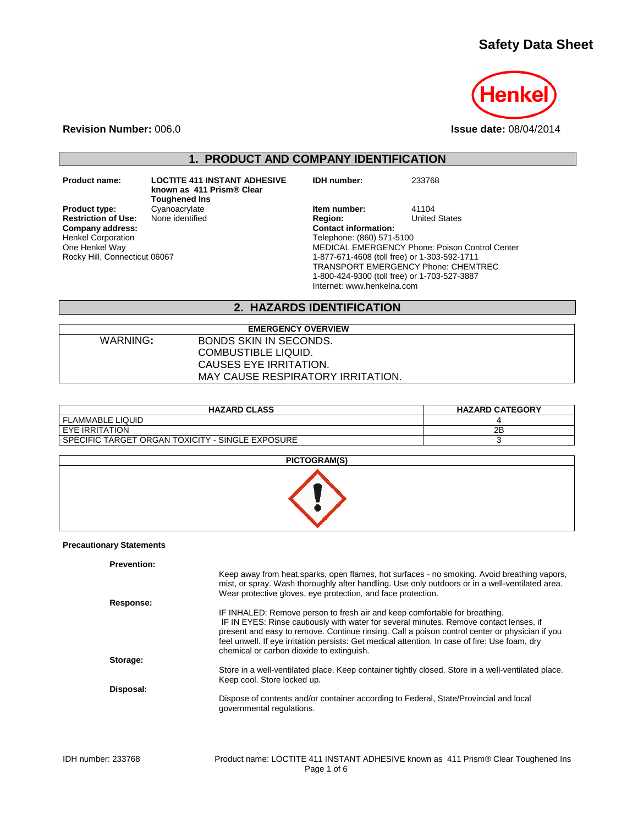# **Safety Data Sheet**



**Revision Number:** 006.0 **Issue date:** 08/04/2014

**1. PRODUCT AND COMPANY IDENTIFICATION**

**IDH number:** 233768

**Company address:** Henkel Corporation One Henkel Way Rocky Hill, Connecticut 06067

**Product name: LOCTITE 411 INSTANT ADHESIVE known as 411 Prism® Clear Toughened Ins Restriction of Use:** None identified **Region:** Region: **Company address:** Company address:

**Product type:** Cyanoacrylate **Item number:** 41104<br> **Restriction of Use:** None identified **Integral Product Product Product** United States Telephone: (860) 571-5100 MEDICAL EMERGENCY Phone: Poison Control Center 1-877-671-4608 (toll free) or 1-303-592-1711 TRANSPORT EMERGENCY Phone: CHEMTREC 1-800-424-9300 (toll free) or 1-703-527-3887 Internet: www.henkelna.com

### **2. HAZARDS IDENTIFICATION**

|          | <b>EMERGENCY OVERVIEW</b>         |  |
|----------|-----------------------------------|--|
| WARNING: | BONDS SKIN IN SECONDS.            |  |
|          | COMBUSTIBLE LIQUID.               |  |
|          | CAUSES EYE IRRITATION.            |  |
|          | MAY CAUSE RESPIRATORY IRRITATION. |  |

| <b>HAZARD CLASS</b>                              | <b>HAZARD CATEGORY</b> |
|--------------------------------------------------|------------------------|
| <b>FLAMMABLE LIQUID</b>                          |                        |
| I EYE IRRITATION                                 | 2B                     |
| SPECIFIC TARGET ORGAN TOXICITY - SINGLE EXPOSURE |                        |

| PICTOGRAM(S) |
|--------------|
|              |

#### **Precautionary Statements**

| <b>Prevention:</b> |                                                                                                                                                                                                                                                                                                                                                                                                                       |
|--------------------|-----------------------------------------------------------------------------------------------------------------------------------------------------------------------------------------------------------------------------------------------------------------------------------------------------------------------------------------------------------------------------------------------------------------------|
|                    | Keep away from heat, sparks, open flames, hot surfaces - no smoking. Avoid breathing vapors,<br>mist, or spray. Wash thoroughly after handling. Use only outdoors or in a well-ventilated area.                                                                                                                                                                                                                       |
|                    | Wear protective gloves, eye protection, and face protection.                                                                                                                                                                                                                                                                                                                                                          |
| Response:          |                                                                                                                                                                                                                                                                                                                                                                                                                       |
|                    | IF INHALED: Remove person to fresh air and keep comfortable for breathing.<br>IF IN EYES: Rinse cautiously with water for several minutes. Remove contact lenses, if<br>present and easy to remove. Continue rinsing. Call a poison control center or physician if you<br>feel unwell. If eye irritation persists: Get medical attention. In case of fire: Use foam, dry<br>chemical or carbon dioxide to extinguish. |
| Storage:           |                                                                                                                                                                                                                                                                                                                                                                                                                       |
|                    | Store in a well-ventilated place. Keep container tightly closed. Store in a well-ventilated place.<br>Keep cool. Store locked up.                                                                                                                                                                                                                                                                                     |
| Disposal:          |                                                                                                                                                                                                                                                                                                                                                                                                                       |
|                    | Dispose of contents and/or container according to Federal, State/Provincial and local<br>governmental regulations.                                                                                                                                                                                                                                                                                                    |
|                    |                                                                                                                                                                                                                                                                                                                                                                                                                       |
|                    |                                                                                                                                                                                                                                                                                                                                                                                                                       |
|                    |                                                                                                                                                                                                                                                                                                                                                                                                                       |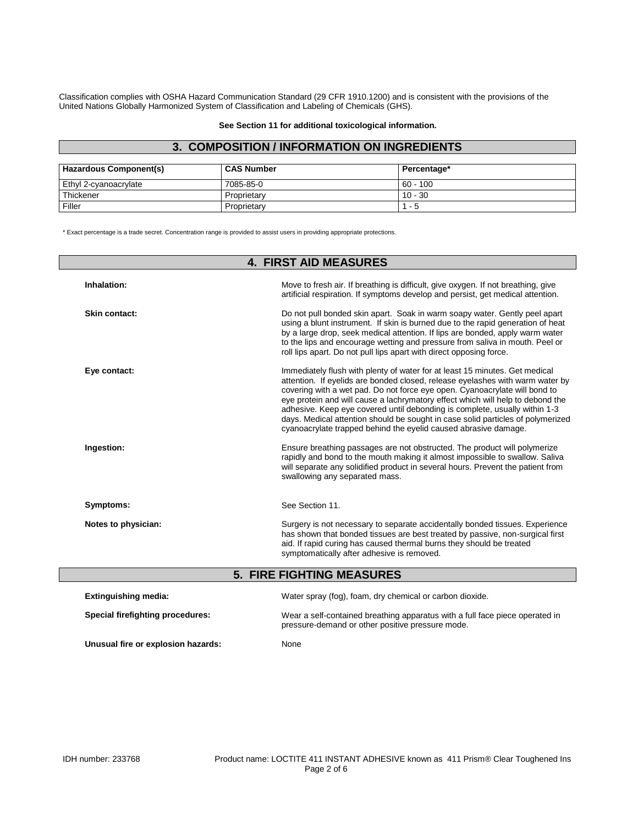Classification complies with OSHA Hazard Communication Standard (29 CFR 1910.1200) and is consistent with the provisions of the United Nations Globally Harmonized System of Classification and Labeling of Chemicals (GHS).

#### **See Section 11 for additional toxicological information.**

#### **3. COMPOSITION / INFORMATION ON INGREDIENTS**

| <b>Hazardous Component(s)</b> | <b>CAS Number</b> | Percentage* |
|-------------------------------|-------------------|-------------|
| Ethyl 2-cyanoacrylate         | 7085-85-0         | $60 - 100$  |
| Thickener                     | Proprietary       | $10 - 30$   |
| Filler                        | Proprietary       | $1 - 5$     |

\* Exact percentage is a trade secret. Concentration range is provided to assist users in providing appropriate protections.

| <b>4. FIRST AID MEASURES</b>     |                                                                                                                                                                                                                                                                                                                                                                                                                                                                                                                                                                  |  |  |
|----------------------------------|------------------------------------------------------------------------------------------------------------------------------------------------------------------------------------------------------------------------------------------------------------------------------------------------------------------------------------------------------------------------------------------------------------------------------------------------------------------------------------------------------------------------------------------------------------------|--|--|
| Inhalation:                      | Move to fresh air. If breathing is difficult, give oxygen. If not breathing, give<br>artificial respiration. If symptoms develop and persist, get medical attention.                                                                                                                                                                                                                                                                                                                                                                                             |  |  |
| Skin contact:                    | Do not pull bonded skin apart. Soak in warm soapy water. Gently peel apart<br>using a blunt instrument. If skin is burned due to the rapid generation of heat<br>by a large drop, seek medical attention. If lips are bonded, apply warm water<br>to the lips and encourage wetting and pressure from saliva in mouth. Peel or<br>roll lips apart. Do not pull lips apart with direct opposing force.                                                                                                                                                            |  |  |
| Eye contact:                     | Immediately flush with plenty of water for at least 15 minutes. Get medical<br>attention. If eyelids are bonded closed, release eyelashes with warm water by<br>covering with a wet pad. Do not force eye open. Cyanoacrylate will bond to<br>eye protein and will cause a lachrymatory effect which will help to debond the<br>adhesive. Keep eye covered until debonding is complete, usually within 1-3<br>days. Medical attention should be sought in case solid particles of polymerized<br>cyanoacrylate trapped behind the eyelid caused abrasive damage. |  |  |
| Ingestion:                       | Ensure breathing passages are not obstructed. The product will polymerize<br>rapidly and bond to the mouth making it almost impossible to swallow. Saliva<br>will separate any solidified product in several hours. Prevent the patient from<br>swallowing any separated mass.                                                                                                                                                                                                                                                                                   |  |  |
| Symptoms:                        | See Section 11.                                                                                                                                                                                                                                                                                                                                                                                                                                                                                                                                                  |  |  |
| Notes to physician:              | Surgery is not necessary to separate accidentally bonded tissues. Experience<br>has shown that bonded tissues are best treated by passive, non-surgical first<br>aid. If rapid curing has caused thermal burns they should be treated<br>symptomatically after adhesive is removed.                                                                                                                                                                                                                                                                              |  |  |
|                                  | <b>5. FIRE FIGHTING MEASURES</b>                                                                                                                                                                                                                                                                                                                                                                                                                                                                                                                                 |  |  |
| <b>Extinguishing media:</b>      | Water spray (fog), foam, dry chemical or carbon dioxide.                                                                                                                                                                                                                                                                                                                                                                                                                                                                                                         |  |  |
| Special firefighting procedures: | Wear a self-contained breathing apparatus with a full face piece operated in<br>pressure-demand or other positive pressure mode.                                                                                                                                                                                                                                                                                                                                                                                                                                 |  |  |

**Unusual fire or explosion hazards:** None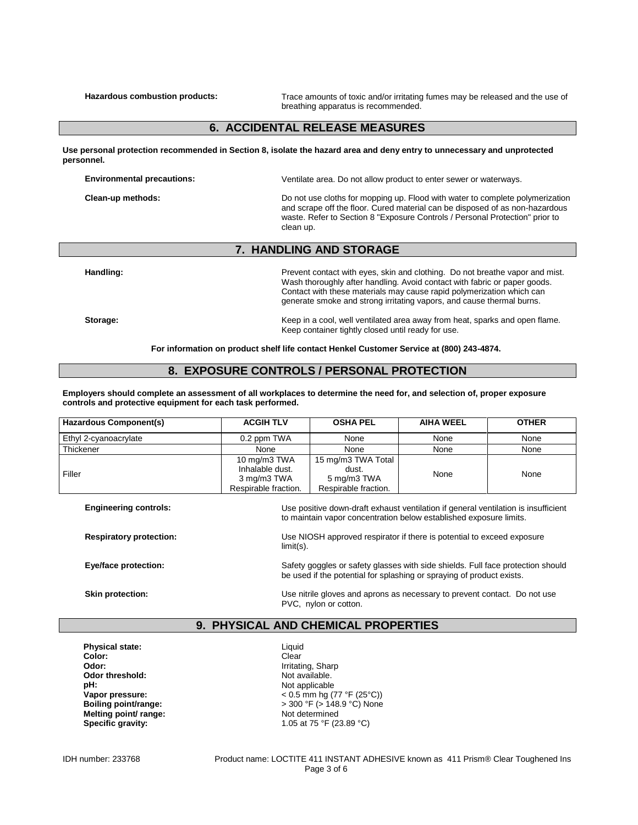**Hazardous combustion products:** Trace amounts of toxic and/or irritating fumes may be released and the use of breathing apparatus is recommended.

#### **6. ACCIDENTAL RELEASE MEASURES**

**Use personal protection recommended in Section 8, isolate the hazard area and deny entry to unnecessary and unprotected personnel.**

| <b>Environmental precautions:</b> | Ventilate area. Do not allow product to enter sewer or waterways.                                                                                                                                                                                          |
|-----------------------------------|------------------------------------------------------------------------------------------------------------------------------------------------------------------------------------------------------------------------------------------------------------|
| Clean-up methods:                 | Do not use cloths for mopping up. Flood with water to complete polymerization<br>and scrape off the floor. Cured material can be disposed of as non-hazardous<br>waste. Refer to Section 8 "Exposure Controls / Personal Protection" prior to<br>clean up. |

#### **7. HANDLING AND STORAGE**

Handling: **Handling: Prevent contact with eyes, skin and clothing.** Do not breathe vapor and mist. Wash thoroughly after handling. Avoid contact with fabric or paper goods. Contact with these materials may cause rapid polymerization which can generate smoke and strong irritating vapors, and cause thermal burns.

**Storage: Keep in a cool, well ventilated area away from heat, sparks and open flame.** Keep container tightly closed until ready for use.

**For information on product shelf life contact Henkel Customer Service at (800) 243-4874.**

#### **8. EXPOSURE CONTROLS / PERSONAL PROTECTION**

**Employers should complete an assessment of all workplaces to determine the need for, and selection of, proper exposure controls and protective equipment for each task performed.**

| Hazardous Component(s)         | <b>ACGIH TLV</b>                                                                                                                                         | <b>OSHA PEL</b>                                                    | <b>AIHA WEEL</b> | <b>OTHER</b> |
|--------------------------------|----------------------------------------------------------------------------------------------------------------------------------------------------------|--------------------------------------------------------------------|------------------|--------------|
| Ethyl 2-cyanoacrylate          | 0.2 ppm TWA                                                                                                                                              | None                                                               | None             | None         |
| Thickener                      | None                                                                                                                                                     | None                                                               | None             | None         |
| Filler                         | 10 mg/m3 TWA<br>Inhalable dust.<br>3 mg/m3 TWA<br>Respirable fraction.                                                                                   | 15 mg/m3 TWA Total<br>dust.<br>5 mg/m3 TWA<br>Respirable fraction. | None             | None         |
| <b>Engineering controls:</b>   | Use positive down-draft exhaust ventilation if general ventilation is insufficient<br>to maintain vapor concentration below established exposure limits. |                                                                    |                  |              |
| <b>Respiratory protection:</b> | Use NIOSH approved respirator if there is potential to exceed exposure<br>$limit(s)$ .                                                                   |                                                                    |                  |              |
| Eye/face protection:           | Safety goggles or safety glasses with side shields. Full face protection should<br>be used if the potential for splashing or spraying of product exists. |                                                                    |                  |              |
| <b>Skin protection:</b>        | Use nitrile gloves and aprons as necessary to prevent contact. Do not use<br>PVC, nylon or cotton.                                                       |                                                                    |                  |              |

## **9. PHYSICAL AND CHEMICAL PROPERTIES**

**Physical state:** Liquid **Color:** Clear Clear Clear Clear Clear Clear Clear Clear Clear Clear Clear Clear Clear Clear Clear Clear Clear<br>
Clear Color: Clear Clear Clear Clear Clear Clear Clear Clear Clear Clear Clear Clear Clear Clear Clear Clear **Odor threshold:**<br>pH: **Melting point/ range:**<br>Specific gravity:

**Irritating, Sharp**<br>Not available. Not applicable **Vapor pressure:**  $\leq 0.5$  mm hg (77 °F (25°C))<br> **Boiling point/range:**  $\leq 300$  °F (> 148.9 °C) None **Boiling point/range:** > 300 °F (> 148.9 °C) None **Specific gravity:** 1.05 at 75 °F (23.89 °C)

IDH number: 233768 Product name: LOCTITE 411 INSTANT ADHESIVE known as 411 Prism® Clear Toughened Ins Page 3 of 6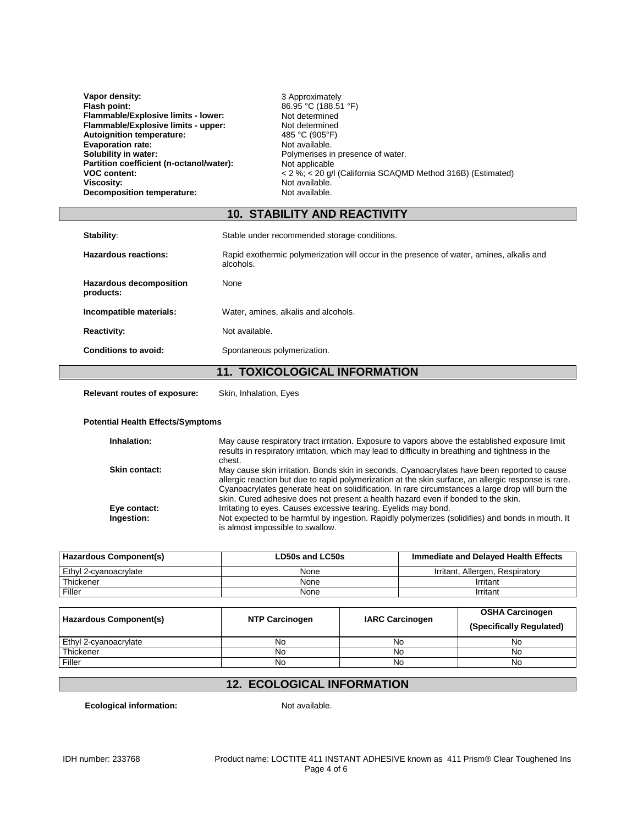| Vapor density:                           | 3 Approximately                                             |
|------------------------------------------|-------------------------------------------------------------|
| Flash point:                             | 86.95 °C (188.51 °F)                                        |
| Flammable/Explosive limits - lower:      | Not determined                                              |
| Flammable/Explosive limits - upper:      | Not determined                                              |
| Autoignition temperature:                | 485 °C (905°F)                                              |
| <b>Evaporation rate:</b>                 | Not available.                                              |
| Solubility in water:                     | Polymerises in presence of water.                           |
| Partition coefficient (n-octanol/water): | Not applicable                                              |
| <b>VOC content:</b>                      | < 2 %; < 20 q/l (California SCAQMD Method 316B) (Estimated) |
| Viscosity:                               | Not available.                                              |
| Decomposition temperature:               | Not available.                                              |

## **10. STABILITY AND REACTIVITY**

| Stability:                                  | Stable under recommended storage conditions.                                                          |  |
|---------------------------------------------|-------------------------------------------------------------------------------------------------------|--|
| Hazardous reactions:                        | Rapid exothermic polymerization will occur in the presence of water, amines, alkalis and<br>alcohols. |  |
| <b>Hazardous decomposition</b><br>products: | <b>None</b>                                                                                           |  |
| Incompatible materials:                     | Water, amines, alkalis and alcohols.                                                                  |  |
| <b>Reactivity:</b>                          | Not available.                                                                                        |  |
| Conditions to avoid:                        | Spontaneous polymerization.                                                                           |  |
|                                             | <b>11. TOXICOLOGICAL INFORMATION</b>                                                                  |  |
|                                             |                                                                                                       |  |

**Relevant routes of exposure:** Skin, Inhalation, Eyes

#### **Potential Health Effects/Symptoms**

| Inhalation:          | May cause respiratory tract irritation. Exposure to vapors above the established exposure limit<br>results in respiratory irritation, which may lead to difficulty in breathing and tightness in the<br>chest.                                                                                                                                                                                |
|----------------------|-----------------------------------------------------------------------------------------------------------------------------------------------------------------------------------------------------------------------------------------------------------------------------------------------------------------------------------------------------------------------------------------------|
| <b>Skin contact:</b> | May cause skin irritation. Bonds skin in seconds. Cyanoacrylates have been reported to cause<br>allergic reaction but due to rapid polymerization at the skin surface, an allergic response is rare.<br>Cyanoacrylates generate heat on solidification. In rare circumstances a large drop will burn the<br>skin. Cured adhesive does not present a health hazard even if bonded to the skin. |
| Eye contact:         | Irritating to eyes. Causes excessive tearing. Eyelids may bond.                                                                                                                                                                                                                                                                                                                               |
| Ingestion:           | Not expected to be harmful by ingestion. Rapidly polymerizes (solidifies) and bonds in mouth. It<br>is almost impossible to swallow.                                                                                                                                                                                                                                                          |

| Hazardous Component(s) | LD50s and LC50s | Immediate and Delayed Health Effects |
|------------------------|-----------------|--------------------------------------|
| Ethyl 2-cvanoacrylate  | None            | Irritant, Allergen, Respiratory      |
| Thickener              | None            | Irritant                             |
| Filler                 | None            | Irritant                             |

| Hazardous Component(s) | <b>NTP Carcinogen</b> | <b>IARC Carcinogen</b> | <b>OSHA Carcinogen</b><br>(Specifically Regulated) |
|------------------------|-----------------------|------------------------|----------------------------------------------------|
| Ethyl 2-cyanoacrylate  | No                    | No.                    | No                                                 |
| Thickener              | No                    | No                     | No                                                 |
| Filler                 | No                    | No                     | No                                                 |

# **12. ECOLOGICAL INFORMATION**

**Ecological information:** Not available.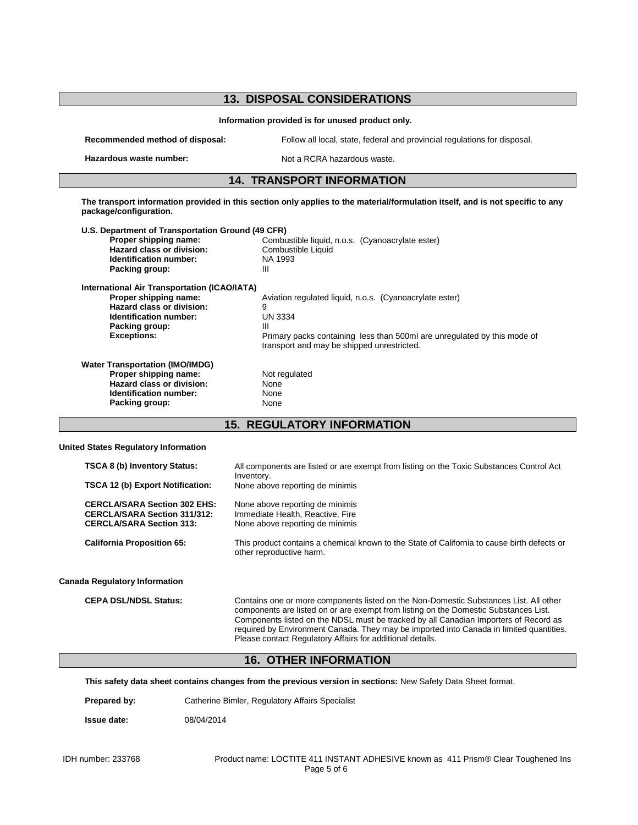| <b>13. DISPOSAL CONSIDERATIONS</b>                                                                                                                                          |                                                                                                                                                                                                               |  |  |
|-----------------------------------------------------------------------------------------------------------------------------------------------------------------------------|---------------------------------------------------------------------------------------------------------------------------------------------------------------------------------------------------------------|--|--|
| Information provided is for unused product only.                                                                                                                            |                                                                                                                                                                                                               |  |  |
| Recommended method of disposal:                                                                                                                                             | Follow all local, state, federal and provincial regulations for disposal.                                                                                                                                     |  |  |
| Hazardous waste number:                                                                                                                                                     | Not a RCRA hazardous waste.                                                                                                                                                                                   |  |  |
| <b>14. TRANSPORT INFORMATION</b>                                                                                                                                            |                                                                                                                                                                                                               |  |  |
| package/configuration.                                                                                                                                                      | The transport information provided in this section only applies to the material/formulation itself, and is not specific to any                                                                                |  |  |
| U.S. Department of Transportation Ground (49 CFR)<br>Proper shipping name:<br>Hazard class or division:<br>Identification number:<br>Packing group:                         | Combustible liquid, n.o.s. (Cyanoacrylate ester)<br>Combustible Liquid<br>NA 1993<br>Ш                                                                                                                        |  |  |
| <b>International Air Transportation (ICAO/IATA)</b><br>Proper shipping name:<br>Hazard class or division:<br>Identification number:<br>Packing group:<br><b>Exceptions:</b> | Aviation regulated liquid, n.o.s. (Cyanoacrylate ester)<br>9<br><b>UN 3334</b><br>Ш<br>Primary packs containing less than 500ml are unregulated by this mode of<br>transport and may be shipped unrestricted. |  |  |
| <b>Water Transportation (IMO/IMDG)</b><br>Proper shipping name:<br>Hazard class or division:<br>Identification number:<br>Packing group:                                    | Not regulated<br>None<br>None<br>None<br><b>15. REGULATORY INFORMATION</b>                                                                                                                                    |  |  |
|                                                                                                                                                                             |                                                                                                                                                                                                               |  |  |
| <b>United States Regulatory Information</b><br><b>TSCA 8 (b) Inventory Status:</b><br>TSCA 12 (b) Export Notification:                                                      | All components are listed or are exempt from listing on the Toxic Substances Control Act<br>Inventory.<br>None above reporting de minimis                                                                     |  |  |

#### **California Proposition 65:** This product contains a chemical known to the State of California to cause birth defects or

**CERCLA/SARA Section 311/312:**<br>CERCLA/SARA Section 313:

**Canada Regulatory Information**

**CEPA DSL/NDSL Status:** Contains one or more components listed on the Non-Domestic Substances List. All other components are listed on or are exempt from listing on the Domestic Substances List. Components listed on the NDSL must be tracked by all Canadian Importers of Record as required by Environment Canada. They may be imported into Canada in limited quantities. Please contact Regulatory Affairs for additional details.

#### **16. OTHER INFORMATION**

**This safety data sheet contains changes from the previous version in sections:** New Safety Data Sheet format.

**CERCLA/SARA Section 313:** None above reporting de minimis

other reproductive harm.

**Prepared by:** Catherine Bimler, Regulatory Affairs Specialist

**CERCLA/SARA Section 302 EHS:** None above reporting de minimis<br>**CERCLA/SARA Section 311/312:** Immediate Health, Reactive, Fire

**Issue date:** 08/04/2014

IDH number: 233768 Product name: LOCTITE 411 INSTANT ADHESIVE known as 411 Prism® Clear Toughened Ins Page 5 of 6